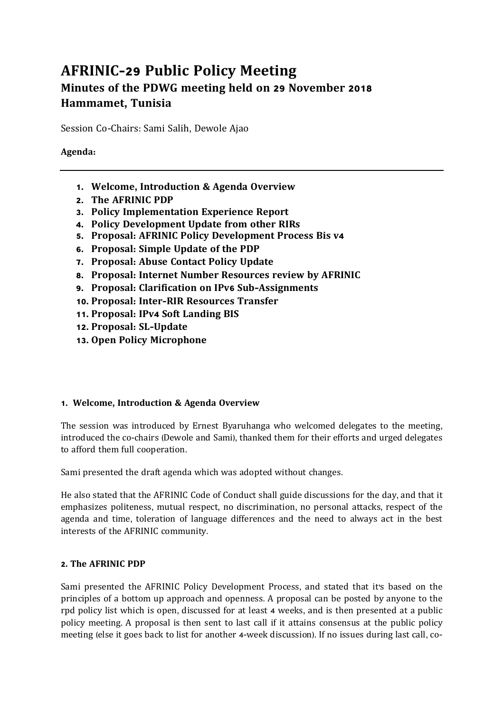# **AFRINIC-29 Public Policy Meeting Minutes of the PDWG meeting held on 29 November 2018 Hammamet, Tunisia**

Session Co-Chairs: Sami Salih, Dewole Ajao

# **Agenda:**

- **1. Welcome, Introduction & Agenda Overview**
- **2. The AFRINIC PDP**
- **3. Policy Implementation Experience Report**
- **4. Policy Development Update from other RIRs**
- **5. Proposal: AFRINIC Policy Development Process Bis v4**
- **6. Proposal: Simple Update of the PDP**
- **7. Proposal: Abuse Contact Policy Update**
- **8. Proposal: Internet Number Resources review by AFRINIC**
- **9. Proposal: Clarification on IPv6 Sub-Assignments**
- **10. Proposal: Inter-RIR Resources Transfer**
- **11. Proposal: IPv4 Soft Landing BIS**
- **12. Proposal: SL-Update**
- **13. Open Policy Microphone**

# **1. Welcome, Introduction & Agenda Overview**

The session was introduced by Ernest Byaruhanga who welcomed delegates to the meeting, introduced the co-chairs (Dewole and Sami), thanked them for their efforts and urged delegates to afford them full cooperation.

Sami presented the draft agenda which was adopted without changes.

He also stated that the AFRINIC Code of Conduct shall guide discussions for the day, and that it emphasizes politeness, mutual respect, no discrimination, no personal attacks, respect of the agenda and time, toleration of language differences and the need to always act in the best interests of the AFRINIC community.

# **2. The AFRINIC PDP**

Sami presented the AFRINIC Policy Development Process, and stated that it's based on the principles of a bottom up approach and openness. A proposal can be posted by anyone to the rpd policy list which is open, discussed for at least 4 weeks, and is then presented at a public policy meeting. A proposal is then sent to last call if it attains consensus at the public policy meeting (else it goes back to list for another 4-week discussion). If no issues during last call, co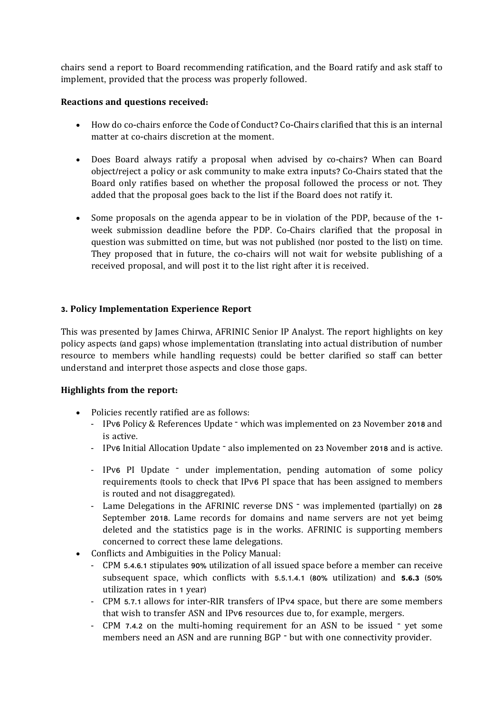chairs send a report to Board recommending ratification, and the Board ratify and ask staff to implement, provided that the process was properly followed.

#### **Reactions and questions received:**

- How do co-chairs enforce the Code of Conduct? Co-Chairs clarified that this is an internal matter at co-chairs discretion at the moment.
- Does Board always ratify a proposal when advised by co-chairs? When can Board object/reject a policy or ask community to make extra inputs? Co-Chairs stated that the Board only ratifies based on whether the proposal followed the process or not. They added that the proposal goes back to the list if the Board does not ratify it.
- Some proposals on the agenda appear to be in violation of the PDP, because of the 1 week submission deadline before the PDP. Co-Chairs clarified that the proposal in question was submitted on time, but was not published (nor posted to the list) on time. They proposed that in future, the co-chairs will not wait for website publishing of a received proposal, and will post it to the list right after it is received.

# **3. Policy Implementation Experience Report**

This was presented by James Chirwa, AFRINIC Senior IP Analyst. The report highlights on key policy aspects (and gaps) whose implementation (translating into actual distribution of number resource to members while handling requests) could be better clarified so staff can better understand and interpret those aspects and close those gaps.

#### **Highlights from the report:**

- Policies recently ratified are as follows:
	- IPv6 Policy & References Update which was implemented on 23 November 2018 and is active.
	- IPv6 Initial Allocation Update also implemented on 23 November 2018 and is active.
	- IPv6 PI Update under implementation, pending automation of some policy requirements (tools to check that IPv6 PI space that has been assigned to members is routed and not disaggregated).
	- Lame Delegations in the AFRINIC reverse DNS was implemented (partially) on 28 September 2018. Lame records for domains and name servers are not yet beimg deleted and the statistics page is in the works. AFRINIC is supporting members concerned to correct these lame delegations.
- Conflicts and Ambiguities in the Policy Manual:
	- CPM 5.4.6.1 stipulates 90% utilization of all issued space before a member can receive subsequent space, which conflicts with 5.5.1.4.1 (80% utilization) and **5.6.3** (50% utilization rates in 1 year)
	- CPM 5.7.1 allows for inter-RIR transfers of IPv4 space, but there are some members that wish to transfer ASN and IPv6 resources due to, for example, mergers.
	- CPM 7.4.2 on the multi-homing requirement for an ASN to be issued  $\overline{\phantom{a}}$  yet some members need an ASN and are running BGP – but with one connectivity provider.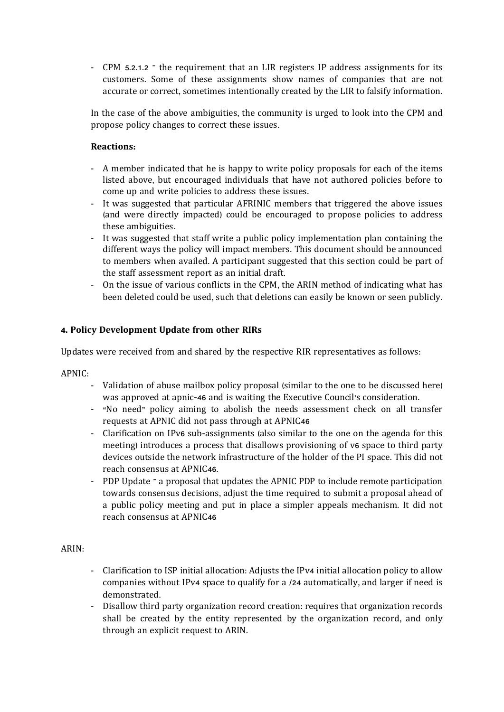- CPM 5.2.1.2 – the requirement that an LIR registers IP address assignments for its customers. Some of these assignments show names of companies that are not accurate or correct, sometimes intentionally created by the LIR to falsify information.

In the case of the above ambiguities, the community is urged to look into the CPM and propose policy changes to correct these issues.

# **Reactions:**

- A member indicated that he is happy to write policy proposals for each of the items listed above, but encouraged individuals that have not authored policies before to come up and write policies to address these issues.
- It was suggested that particular AFRINIC members that triggered the above issues (and were directly impacted) could be encouraged to propose policies to address these ambiguities.
- It was suggested that staff write a public policy implementation plan containing the different ways the policy will impact members. This document should be announced to members when availed. A participant suggested that this section could be part of the staff assessment report as an initial draft.
- On the issue of various conflicts in the CPM, the ARIN method of indicating what has been deleted could be used, such that deletions can easily be known or seen publicly.

# **4. Policy Development Update from other RIRs**

Updates were received from and shared by the respective RIR representatives as follows:

# APNIC:

- Validation of abuse mailbox policy proposal (similar to the one to be discussed here) was approved at apnic-46 and is waiting the Executive Council's consideration.
- "No need" policy aiming to abolish the needs assessment check on all transfer requests at APNIC did not pass through at APNIC46
- Clarification on IPv6 sub-assignments (also similar to the one on the agenda for this meeting) introduces a process that disallows provisioning of v6 space to third party devices outside the network infrastructure of the holder of the PI space. This did not reach consensus at APNIC46.
- PDP Update a proposal that updates the APNIC PDP to include remote participation towards consensus decisions, adjust the time required to submit a proposal ahead of a public policy meeting and put in place a simpler appeals mechanism. It did not reach consensus at APNIC46

# ARIN:

- Clarification to ISP initial allocation: Adjusts the IPv4 initial allocation policy to allow companies without IPv4 space to qualify for a /24 automatically, and larger if need is demonstrated.
- Disallow third party organization record creation: requires that organization records shall be created by the entity represented by the organization record, and only through an explicit request to ARIN.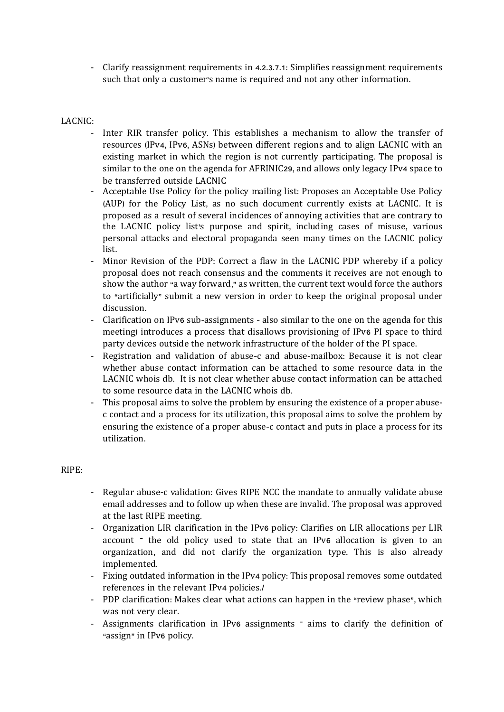- Clarify reassignment requirements in 4.2.3.7.1: Simplifies reassignment requirements such that only a customer's name is required and not any other information.

#### LACNIC:

- Inter RIR transfer policy. This establishes a mechanism to allow the transfer of resources (IPv4, IPv6, ASNs) between different regions and to align LACNIC with an existing market in which the region is not currently participating. The proposal is similar to the one on the agenda for AFRINIC29, and allows only legacy IPv4 space to be transferred outside LACNIC
- Acceptable Use Policy for the policy mailing list: Proposes an Acceptable Use Policy (AUP) for the Policy List, as no such document currently exists at LACNIC. It is proposed as a result of several incidences of annoying activities that are contrary to the LACNIC policy list's purpose and spirit, including cases of misuse, various personal attacks and electoral propaganda seen many times on the LACNIC policy list.
- Minor Revision of the PDP: Correct a flaw in the LACNIC PDP whereby if a policy proposal does not reach consensus and the comments it receives are not enough to show the author "a way forward," as written, the current text would force the authors to "artificially" submit a new version in order to keep the original proposal under discussion.
- Clarification on IPv6 sub-assignments also similar to the one on the agenda for this meeting) introduces a process that disallows provisioning of IPv6 PI space to third party devices outside the network infrastructure of the holder of the PI space.
- Registration and validation of abuse-c and abuse-mailbox: Because it is not clear whether abuse contact information can be attached to some resource data in the LACNIC whois db. It is not clear whether abuse contact information can be attached to some resource data in the LACNIC whois db.
- This proposal aims to solve the problem by ensuring the existence of a proper abusec contact and a process for its utilization, this proposal aims to solve the problem by ensuring the existence of a proper abuse-c contact and puts in place a process for its utilization.

#### RIPE:

- Regular abuse-c validation: Gives RIPE NCC the mandate to annually validate abuse email addresses and to follow up when these are invalid. The proposal was approved at the last RIPE meeting.
- Organization LIR clarification in the IPv6 policy: Clarifies on LIR allocations per LIR account <sup>-</sup> the old policy used to state that an IPv6 allocation is given to an organization, and did not clarify the organization type. This is also already implemented.
- Fixing outdated information in the IPv4 policy: This proposal removes some outdated references in the relevant IPv4 policies./
- PDP clarification: Makes clear what actions can happen in the "review phase", which was not very clear.
- Assignments clarification in IPv6 assignments aims to clarify the definition of "assign" in IPv6 policy.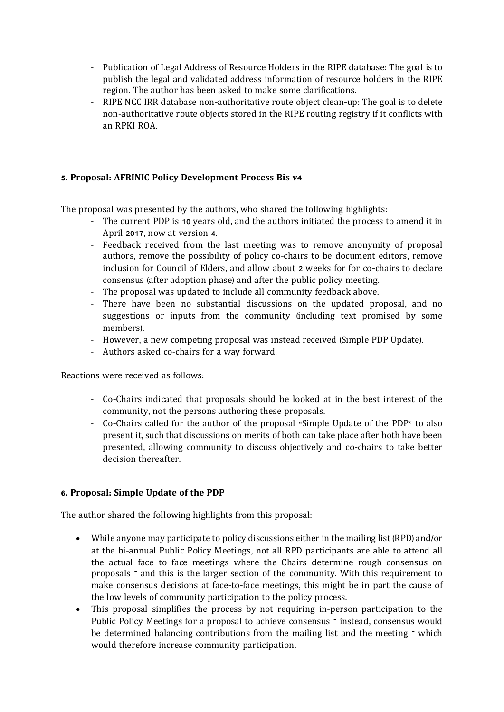- Publication of Legal Address of Resource Holders in the RIPE database: The goal is to publish the legal and validated address information of resource holders in the RIPE region. The author has been asked to make some clarifications.
- RIPE NCC IRR database non-authoritative route object clean-up: The goal is to delete non-authoritative route objects stored in the RIPE routing registry if it conflicts with an RPKI ROA.

# **5. Proposal: AFRINIC Policy Development Process Bis v4**

The proposal was presented by the authors, who shared the following highlights:

- The current PDP is 10 years old, and the authors initiated the process to amend it in April 2017, now at version 4.
- Feedback received from the last meeting was to remove anonymity of proposal authors, remove the possibility of policy co-chairs to be document editors, remove inclusion for Council of Elders, and allow about 2 weeks for for co-chairs to declare consensus (after adoption phase) and after the public policy meeting.
- The proposal was updated to include all community feedback above.
- There have been no substantial discussions on the updated proposal, and no suggestions or inputs from the community (including text promised by some members).
- However, a new competing proposal was instead received (Simple PDP Update).
- Authors asked co-chairs for a way forward.

Reactions were received as follows:

- Co-Chairs indicated that proposals should be looked at in the best interest of the community, not the persons authoring these proposals.
- Co-Chairs called for the author of the proposal "Simple Update of the PDP" to also present it, such that discussions on merits of both can take place after both have been presented, allowing community to discuss objectively and co-chairs to take better decision thereafter.

# **6. Proposal: Simple Update of the PDP**

The author shared the following highlights from this proposal:

- While anyone may participate to policy discussions either in the mailing list (RPD) and/or at the bi-annual Public Policy Meetings, not all RPD participants are able to attend all the actual face to face meetings where the Chairs determine rough consensus on proposals – and this is the larger section of the community. With this requirement to make consensus decisions at face-to-face meetings, this might be in part the cause of the low levels of community participation to the policy process.
- This proposal simplifies the process by not requiring in-person participation to the Public Policy Meetings for a proposal to achieve consensus – instead, consensus would be determined balancing contributions from the mailing list and the meeting – which would therefore increase community participation.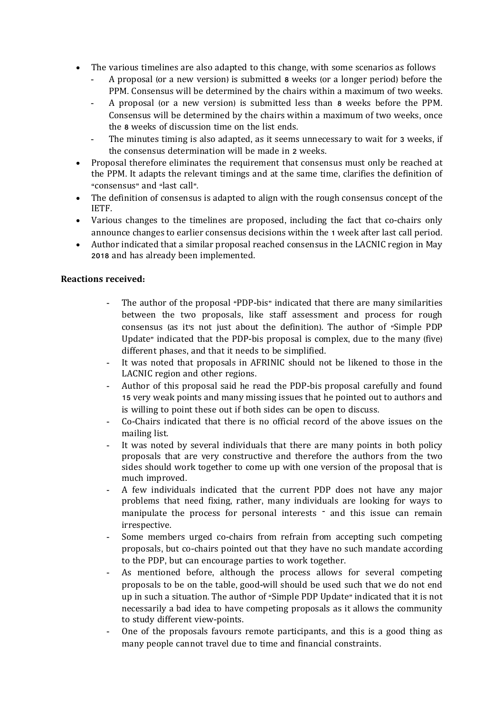- The various timelines are also adapted to this change, with some scenarios as follows
	- A proposal (or a new version) is submitted 8 weeks (or a longer period) before the PPM. Consensus will be determined by the chairs within a maximum of two weeks.
	- A proposal (or a new version) is submitted less than 8 weeks before the PPM. Consensus will be determined by the chairs within a maximum of two weeks, once the 8 weeks of discussion time on the list ends.
	- The minutes timing is also adapted, as it seems unnecessary to wait for 3 weeks, if the consensus determination will be made in 2 weeks.
- Proposal therefore eliminates the requirement that consensus must only be reached at the PPM. It adapts the relevant timings and at the same time, clarifies the definition of "consensus" and "last call".
- The definition of consensus is adapted to align with the rough consensus concept of the IETF.
- Various changes to the timelines are proposed, including the fact that co-chairs only announce changes to earlier consensus decisions within the 1 week after last call period.
- Author indicated that a similar proposal reached consensus in the LACNIC region in May 2018 and has already been implemented.

# **Reactions received:**

- The author of the proposal "PDP-bis" indicated that there are many similarities between the two proposals, like staff assessment and process for rough consensus (as it's not just about the definition). The author of "Simple PDP Update" indicated that the PDP-bis proposal is complex, due to the many (five) different phases, and that it needs to be simplified.
- It was noted that proposals in AFRINIC should not be likened to those in the LACNIC region and other regions.
- Author of this proposal said he read the PDP-bis proposal carefully and found 15 very weak points and many missing issues that he pointed out to authors and is willing to point these out if both sides can be open to discuss.
- Co-Chairs indicated that there is no official record of the above issues on the mailing list.
- It was noted by several individuals that there are many points in both policy proposals that are very constructive and therefore the authors from the two sides should work together to come up with one version of the proposal that is much improved.
- A few individuals indicated that the current PDP does not have any major problems that need fixing, rather, many individuals are looking for ways to manipulate the process for personal interests – and this issue can remain irrespective.
- Some members urged co-chairs from refrain from accepting such competing proposals, but co-chairs pointed out that they have no such mandate according to the PDP, but can encourage parties to work together.
- As mentioned before, although the process allows for several competing proposals to be on the table, good-will should be used such that we do not end up in such a situation. The author of "Simple PDP Update" indicated that it is not necessarily a bad idea to have competing proposals as it allows the community to study different view-points.
- One of the proposals favours remote participants, and this is a good thing as many people cannot travel due to time and financial constraints.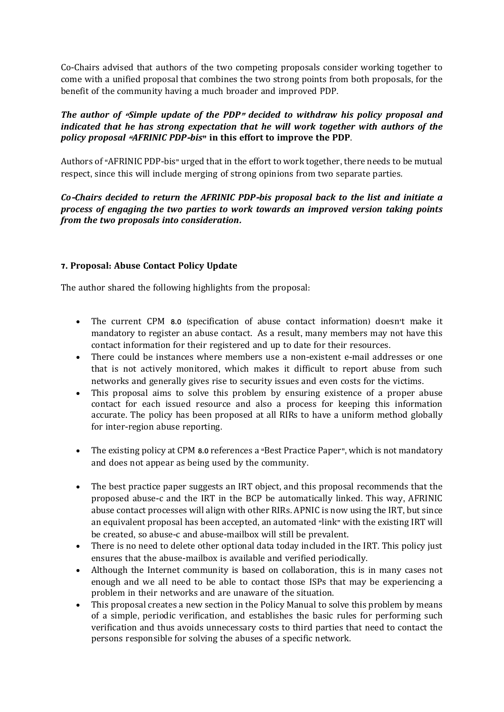Co-Chairs advised that authors of the two competing proposals consider working together to come with a unified proposal that combines the two strong points from both proposals, for the benefit of the community having a much broader and improved PDP.

# *The author of* **"***Simple update of the PDP***"** *decided to withdraw his policy proposal and indicated that he has strong expectation that he will work together with authors of the policy proposal* **"***AFRINIC PDP***-***bis***" in this effort to improve the PDP**.

Authors of "AFRINIC PDP-bis" urged that in the effort to work together, there needs to be mutual respect, since this will include merging of strong opinions from two separate parties.

*Co***-***Chairs decided to return the AFRINIC PDP***-***bis proposal back to the list and initiate a process of engaging the two parties to work towards an improved version taking points from the two proposals into consideration***.**

# **7. Proposal: Abuse Contact Policy Update**

The author shared the following highlights from the proposal:

- The current CPM 8.0 (specification of abuse contact information) doesn't make it mandatory to register an abuse contact. As a result, many members may not have this contact information for their registered and up to date for their resources.
- There could be instances where members use a non-existent e-mail addresses or one that is not actively monitored, which makes it difficult to report abuse from such networks and generally gives rise to security issues and even costs for the victims.
- This proposal aims to solve this problem by ensuring existence of a proper abuse contact for each issued resource and also a process for keeping this information accurate. The policy has been proposed at all RIRs to have a uniform method globally for inter-region abuse reporting.
- The existing policy at CPM 8.0 references a "Best Practice Paper", which is not mandatory and does not appear as being used by the community.
- The best practice paper suggests an IRT object, and this proposal recommends that the proposed abuse-c and the IRT in the BCP be automatically linked. This way, AFRINIC abuse contact processes will align with other RIRs. APNIC is now using the IRT, but since an equivalent proposal has been accepted, an automated "link" with the existing IRT will be created, so abuse-c and abuse-mailbox will still be prevalent.
- There is no need to delete other optional data today included in the IRT. This policy just ensures that the abuse-mailbox is available and verified periodically.
- Although the Internet community is based on collaboration, this is in many cases not enough and we all need to be able to contact those ISPs that may be experiencing a problem in their networks and are unaware of the situation.
- This proposal creates a new section in the Policy Manual to solve this problem by means of a simple, periodic verification, and establishes the basic rules for performing such verification and thus avoids unnecessary costs to third parties that need to contact the persons responsible for solving the abuses of a specific network.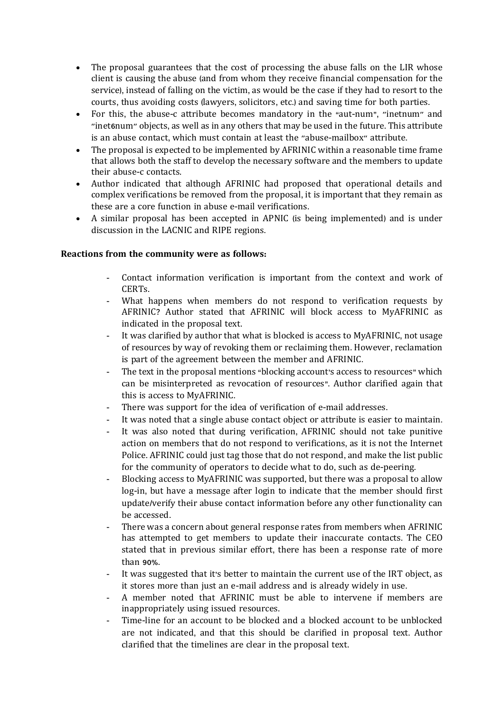- The proposal guarantees that the cost of processing the abuse falls on the LIR whose client is causing the abuse (and from whom they receive financial compensation for the service), instead of falling on the victim, as would be the case if they had to resort to the courts, thus avoiding costs (lawyers, solicitors, etc.) and saving time for both parties.
- For this, the abuse-c attribute becomes mandatory in the "aut-num", "inetnum" and "inet6num" objects, as well as in any others that may be used in the future. This attribute is an abuse contact, which must contain at least the "abuse-mailbox" attribute.
- The proposal is expected to be implemented by AFRINIC within a reasonable time frame that allows both the staff to develop the necessary software and the members to update their abuse-c contacts.
- Author indicated that although AFRINIC had proposed that operational details and complex verifications be removed from the proposal, it is important that they remain as these are a core function in abuse e-mail verifications.
- A similar proposal has been accepted in APNIC (is being implemented) and is under discussion in the LACNIC and RIPE regions.

# **Reactions from the community were as follows:**

- Contact information verification is important from the context and work of CERTs.
- What happens when members do not respond to verification requests by AFRINIC? Author stated that AFRINIC will block access to MyAFRINIC as indicated in the proposal text.
- It was clarified by author that what is blocked is access to MyAFRINIC, not usage of resources by way of revoking them or reclaiming them. However, reclamation is part of the agreement between the member and AFRINIC.
- The text in the proposal mentions "blocking account's access to resources" which can be misinterpreted as revocation of resources". Author clarified again that this is access to MyAFRINIC.
- There was support for the idea of verification of e-mail addresses.
- It was noted that a single abuse contact object or attribute is easier to maintain.
- It was also noted that during verification, AFRINIC should not take punitive action on members that do not respond to verifications, as it is not the Internet Police. AFRINIC could just tag those that do not respond, and make the list public for the community of operators to decide what to do, such as de-peering.
- Blocking access to MyAFRINIC was supported, but there was a proposal to allow log-in, but have a message after login to indicate that the member should first update/verify their abuse contact information before any other functionality can be accessed.
- There was a concern about general response rates from members when AFRINIC has attempted to get members to update their inaccurate contacts. The CEO stated that in previous similar effort, there has been a response rate of more than 90%.
- It was suggested that it's better to maintain the current use of the IRT object, as it stores more than just an e-mail address and is already widely in use.
- A member noted that AFRINIC must be able to intervene if members are inappropriately using issued resources.
- Time-line for an account to be blocked and a blocked account to be unblocked are not indicated, and that this should be clarified in proposal text. Author clarified that the timelines are clear in the proposal text.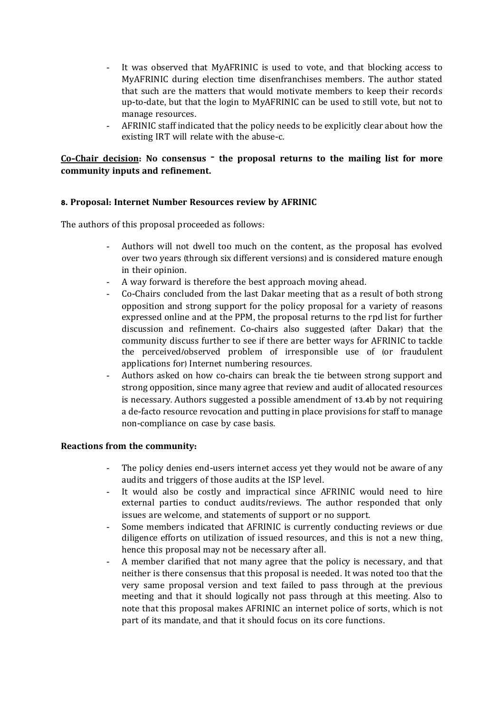- It was observed that MyAFRINIC is used to vote, and that blocking access to MyAFRINIC during election time disenfranchises members. The author stated that such are the matters that would motivate members to keep their records up-to-date, but that the login to MyAFRINIC can be used to still vote, but not to manage resources.
- AFRINIC staff indicated that the policy needs to be explicitly clear about how the existing IRT will relate with the abuse-c.

# **Co-Chair decision: No consensus – the proposal returns to the mailing list for more community inputs and refinement.**

# **8. Proposal: Internet Number Resources review by AFRINIC**

The authors of this proposal proceeded as follows:

- Authors will not dwell too much on the content, as the proposal has evolved over two years (through six different versions) and is considered mature enough in their opinion.
- A way forward is therefore the best approach moving ahead.
- Co-Chairs concluded from the last Dakar meeting that as a result of both strong opposition and strong support for the policy proposal for a variety of reasons expressed online and at the PPM, the proposal returns to the rpd list for further discussion and refinement. Co-chairs also suggested (after Dakar) that the community discuss further to see if there are better ways for AFRINIC to tackle the perceived/observed problem of irresponsible use of (or fraudulent applications for) Internet numbering resources.
- Authors asked on how co-chairs can break the tie between strong support and strong opposition, since many agree that review and audit of allocated resources is necessary. Authors suggested a possible amendment of 13.4b by not requiring a de-facto resource revocation and putting in place provisions for staff to manage non-compliance on case by case basis.

#### **Reactions from the community:**

- The policy denies end-users internet access yet they would not be aware of any audits and triggers of those audits at the ISP level.
- It would also be costly and impractical since AFRINIC would need to hire external parties to conduct audits/reviews. The author responded that only issues are welcome, and statements of support or no support.
- Some members indicated that AFRINIC is currently conducting reviews or due diligence efforts on utilization of issued resources, and this is not a new thing, hence this proposal may not be necessary after all.
- A member clarified that not many agree that the policy is necessary, and that neither is there consensus that this proposal is needed. It was noted too that the very same proposal version and text failed to pass through at the previous meeting and that it should logically not pass through at this meeting. Also to note that this proposal makes AFRINIC an internet police of sorts, which is not part of its mandate, and that it should focus on its core functions.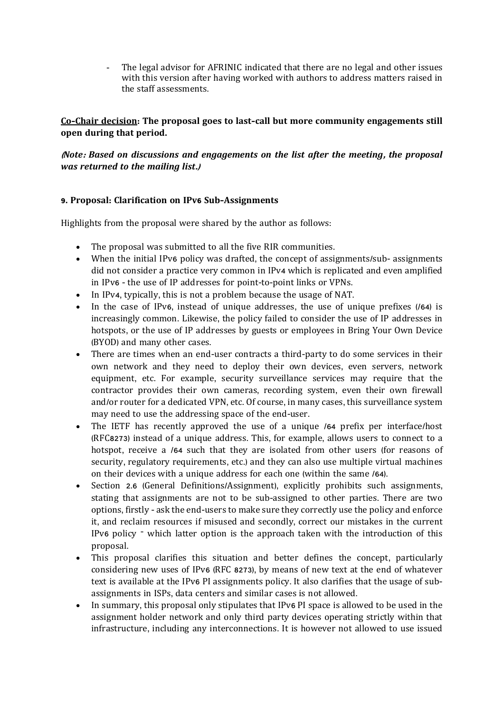The legal advisor for AFRINIC indicated that there are no legal and other issues with this version after having worked with authors to address matters raised in the staff assessments.

# **Co-Chair decision: The proposal goes to last-call but more community engagements still open during that period.**

# **(***Note***:** *Based on discussions and engagements on the list after the meeting***,** *the proposal was returned to the mailing list***.)**

# **9. Proposal: Clarification on IPv6 Sub-Assignments**

Highlights from the proposal were shared by the author as follows:

- The proposal was submitted to all the five RIR communities.
- When the initial IPv6 policy was drafted, the concept of assignments/sub- assignments did not consider a practice very common in IPv4 which is replicated and even amplified in IPv6 - the use of IP addresses for point-to-point links or VPNs.
- In IPv4, typically, this is not a problem because the usage of NAT.
- In the case of IPv6, instead of unique addresses, the use of unique prefixes ( $/64$ ) is increasingly common. Likewise, the policy failed to consider the use of IP addresses in hotspots, or the use of IP addresses by guests or employees in Bring Your Own Device (BYOD) and many other cases.
- There are times when an end-user contracts a third-party to do some services in their own network and they need to deploy their own devices, even servers, network equipment, etc. For example, security surveillance services may require that the contractor provides their own cameras, recording system, even their own firewall and/or router for a dedicated VPN, etc. Of course, in many cases, this surveillance system may need to use the addressing space of the end-user.
- The IETF has recently approved the use of a unique /64 prefix per interface/host (RFC8273) instead of a unique address. This, for example, allows users to connect to a hotspot, receive a /64 such that they are isolated from other users (for reasons of security, regulatory requirements, etc.) and they can also use multiple virtual machines on their devices with a unique address for each one (within the same /64).
- Section 2.6 (General Definitions/Assignment), explicitly prohibits such assignments, stating that assignments are not to be sub-assigned to other parties. There are two options, firstly - ask the end-users to make sure they correctly use the policy and enforce it, and reclaim resources if misused and secondly, correct our mistakes in the current IPv6 policy – which latter option is the approach taken with the introduction of this proposal.
- This proposal clarifies this situation and better defines the concept, particularly considering new uses of IPv6 (RFC 8273), by means of new text at the end of whatever text is available at the IPv6 PI assignments policy. It also clarifies that the usage of subassignments in ISPs, data centers and similar cases is not allowed.
- In summary, this proposal only stipulates that IPv6 PI space is allowed to be used in the assignment holder network and only third party devices operating strictly within that infrastructure, including any interconnections. It is however not allowed to use issued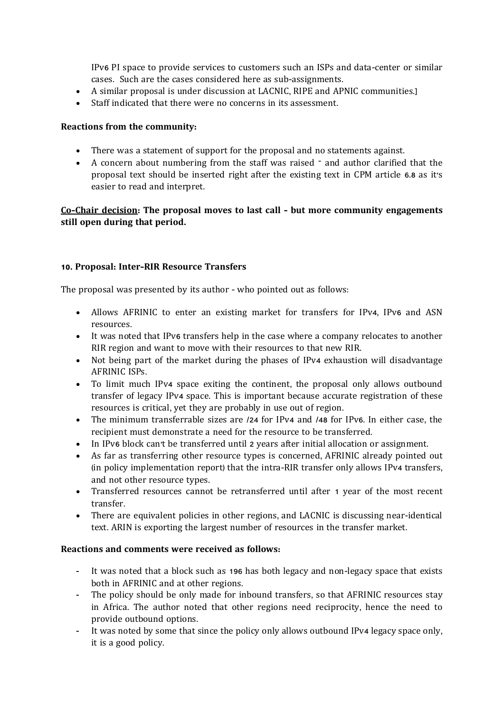IPv6 PI space to provide services to customers such an ISPs and data-center or similar cases. Such are the cases considered here as sub-assignments.

- A similar proposal is under discussion at LACNIC, RIPE and APNIC communities.]
- Staff indicated that there were no concerns in its assessment.

#### **Reactions from the community:**

- There was a statement of support for the proposal and no statements against.
- A concern about numbering from the staff was raised and author clarified that the proposal text should be inserted right after the existing text in CPM article 6.8 as it's easier to read and interpret.

# **Co-Chair decision: The proposal moves to last call - but more community engagements still open during that period.**

#### **10. Proposal: Inter-RIR Resource Transfers**

The proposal was presented by its author - who pointed out as follows:

- Allows AFRINIC to enter an existing market for transfers for IPv4, IPv6 and ASN resources.
- It was noted that IPv6 transfers help in the case where a company relocates to another RIR region and want to move with their resources to that new RIR.
- Not being part of the market during the phases of IPv4 exhaustion will disadvantage AFRINIC ISPs.
- To limit much IPv4 space exiting the continent, the proposal only allows outbound transfer of legacy IPv4 space. This is important because accurate registration of these resources is critical, yet they are probably in use out of region.
- The minimum transferrable sizes are /24 for IPv4 and /48 for IPv6. In either case, the recipient must demonstrate a need for the resource to be transferred.
- In IPv6 block can't be transferred until 2 years after initial allocation or assignment.
- As far as transferring other resource types is concerned, AFRINIC already pointed out (in policy implementation report) that the intra-RIR transfer only allows IPv4 transfers, and not other resource types.
- Transferred resources cannot be retransferred until after 1 year of the most recent transfer.
- There are equivalent policies in other regions, and LACNIC is discussing near-identical text. ARIN is exporting the largest number of resources in the transfer market.

#### **Reactions and comments were received as follows:**

- It was noted that a block such as 196 has both legacy and non-legacy space that exists both in AFRINIC and at other regions.
- The policy should be only made for inbound transfers, so that AFRINIC resources stay in Africa. The author noted that other regions need reciprocity, hence the need to provide outbound options.
- It was noted by some that since the policy only allows outbound IPv4 legacy space only, it is a good policy.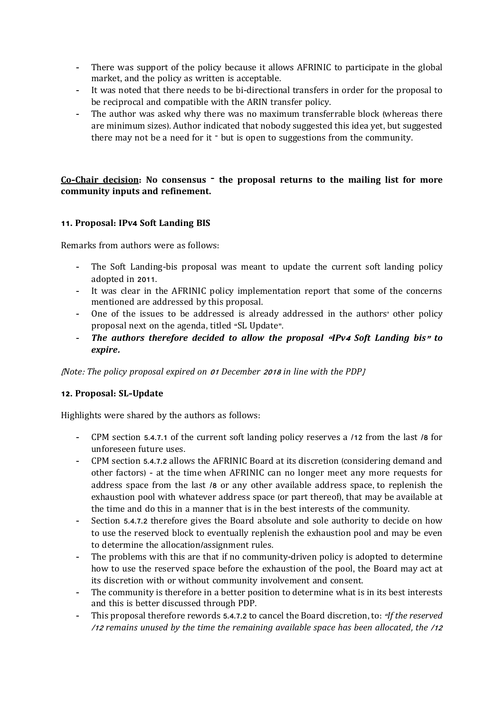- There was support of the policy because it allows AFRINIC to participate in the global market, and the policy as written is acceptable.
- It was noted that there needs to be bi-directional transfers in order for the proposal to be reciprocal and compatible with the ARIN transfer policy.
- The author was asked why there was no maximum transferrable block (whereas there are minimum sizes). Author indicated that nobody suggested this idea yet, but suggested there may not be a need for it – but is open to suggestions from the community.

# **Co-Chair decision: No consensus – the proposal returns to the mailing list for more community inputs and refinement.**

# **11. Proposal: IPv4 Soft Landing BIS**

Remarks from authors were as follows:

- The Soft Landing-bis proposal was meant to update the current soft landing policy adopted in 2011.
- It was clear in the AFRINIC policy implementation report that some of the concerns mentioned are addressed by this proposal.
- One of the issues to be addressed is already addressed in the authors' other policy proposal next on the agenda, titled "SL Update".
- *The authors therefore decided to allow the proposal* **"***IPv***4** *Soft Landing bis***"** *to expire***.**

[*Note*: *The policy proposal expired on* <sup>01</sup>*December* <sup>2018</sup>*in line with the PDP*]

# **12. Proposal: SL-Update**

Highlights were shared by the authors as follows:

- CPM section 5.4.7.1 of the current soft landing policy reserves a /12 from the last /8 for unforeseen future uses.
- CPM section 5.4.7.2 allows the AFRINIC Board at its discretion (considering demand and other factors) - at the time when AFRINIC can no longer meet any more requests for address space from the last /8 or any other available address space, to replenish the exhaustion pool with whatever address space (or part thereof), that may be available at the time and do this in a manner that is in the best interests of the community.
- Section 5.4.7.2 therefore gives the Board absolute and sole authority to decide on how to use the reserved block to eventually replenish the exhaustion pool and may be even to determine the allocation/assignment rules.
- The problems with this are that if no community-driven policy is adopted to determine how to use the reserved space before the exhaustion of the pool, the Board may act at its discretion with or without community involvement and consent.
- The community is therefore in a better position to determine what is in its best interests and this is better discussed through PDP.
- This proposal therefore rewords 5.4.7.2 to cancel the Board discretion, to: "*If the reserved* /12 *remains unused by the time the remaining available space has been allocated*, *the* /12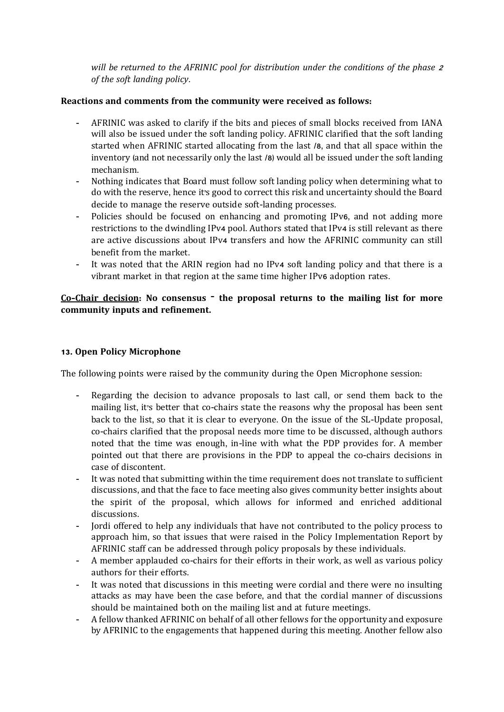*will be returned to the AFRINIC pool for distribution under the conditions of the phase* <sup>2</sup> *of the soft landing policy*.

# **Reactions and comments from the community were received as follows:**

- AFRINIC was asked to clarify if the bits and pieces of small blocks received from IANA will also be issued under the soft landing policy. AFRINIC clarified that the soft landing started when AFRINIC started allocating from the last /8, and that all space within the inventory (and not necessarily only the last /8) would all be issued under the soft landing mechanism.
- Nothing indicates that Board must follow soft landing policy when determining what to do with the reserve, hence it's good to correct this risk and uncertainty should the Board decide to manage the reserve outside soft-landing processes.
- Policies should be focused on enhancing and promoting IPv6, and not adding more restrictions to the dwindling IPv4 pool. Authors stated that IPv4 is still relevant as there are active discussions about IPv4 transfers and how the AFRINIC community can still benefit from the market.
- It was noted that the ARIN region had no IPv4 soft landing policy and that there is a vibrant market in that region at the same time higher IPv6 adoption rates.

# **Co-Chair decision: No consensus – the proposal returns to the mailing list for more community inputs and refinement.**

# **13. Open Policy Microphone**

The following points were raised by the community during the Open Microphone session:

- Regarding the decision to advance proposals to last call, or send them back to the mailing list, it's better that co-chairs state the reasons why the proposal has been sent back to the list, so that it is clear to everyone. On the issue of the SL-Update proposal, co-chairs clarified that the proposal needs more time to be discussed, although authors noted that the time was enough, in-line with what the PDP provides for. A member pointed out that there are provisions in the PDP to appeal the co-chairs decisions in case of discontent.
- It was noted that submitting within the time requirement does not translate to sufficient discussions, and that the face to face meeting also gives community better insights about the spirit of the proposal, which allows for informed and enriched additional discussions.
- Jordi offered to help any individuals that have not contributed to the policy process to approach him, so that issues that were raised in the Policy Implementation Report by AFRINIC staff can be addressed through policy proposals by these individuals.
- A member applauded co-chairs for their efforts in their work, as well as various policy authors for their efforts.
- It was noted that discussions in this meeting were cordial and there were no insulting attacks as may have been the case before, and that the cordial manner of discussions should be maintained both on the mailing list and at future meetings.
- A fellow thanked AFRINIC on behalf of all other fellows for the opportunity and exposure by AFRINIC to the engagements that happened during this meeting. Another fellow also